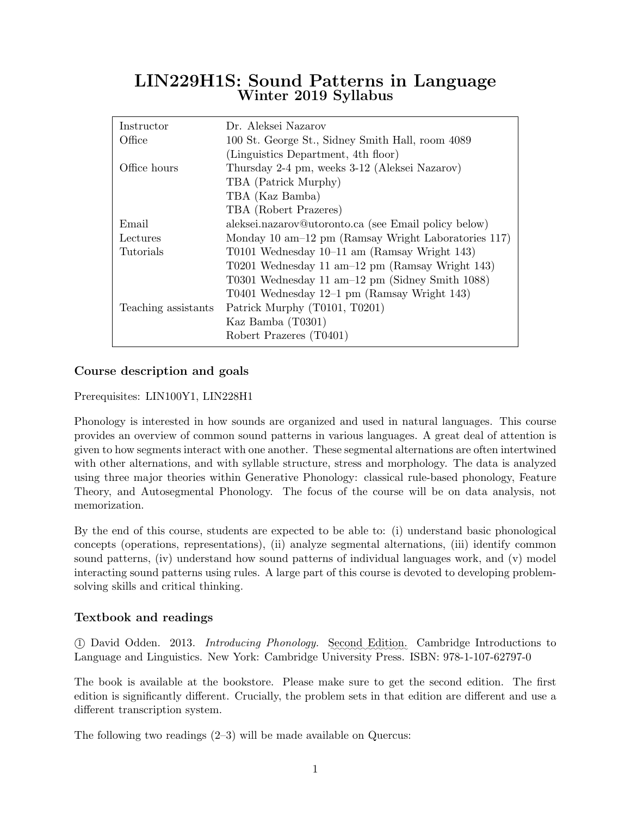# LIN229H1S: Sound Patterns in Language Winter 2019 Syllabus

| Instructor          | Dr. Aleksei Nazarov                                         |  |  |
|---------------------|-------------------------------------------------------------|--|--|
| Office              | 100 St. George St., Sidney Smith Hall, room 4089            |  |  |
|                     | (Linguistics Department, 4th floor)                         |  |  |
| Office hours        | Thursday 2-4 pm, weeks 3-12 (Aleksei Nazarov)               |  |  |
|                     | TBA (Patrick Murphy)                                        |  |  |
|                     | TBA (Kaz Bamba)                                             |  |  |
|                     | TBA (Robert Prazeres)                                       |  |  |
| Email               | aleksei.nazarov@utoronto.ca (see Email policy below)        |  |  |
| Lectures            | Monday 10 am $-12$ pm (Ramsay Wright Laboratories 117)      |  |  |
| Tutorials           | T0101 Wednesday $10-11$ am (Ramsay Wright 143)              |  |  |
|                     | T0201 Wednesday 11 am - $12 \text{ pm}$ (Ramsay Wright 143) |  |  |
|                     | T0301 Wednesday 11 am $-12$ pm (Sidney Smith 1088)          |  |  |
|                     | T0401 Wednesday $12-1$ pm (Ramsay Wright 143)               |  |  |
| Teaching assistants | Patrick Murphy (T0101, T0201)                               |  |  |
|                     | Kaz Bamba (T0301)                                           |  |  |
|                     | Robert Prazeres (T0401)                                     |  |  |

## Course description and goals

## Prerequisites: LIN100Y1, LIN228H1

Phonology is interested in how sounds are organized and used in natural languages. This course provides an overview of common sound patterns in various languages. A great deal of attention is given to how segments interact with one another. These segmental alternations are often intertwined with other alternations, and with syllable structure, stress and morphology. The data is analyzed using three major theories within Generative Phonology: classical rule-based phonology, Feature Theory, and Autosegmental Phonology. The focus of the course will be on data analysis, not memorization.

By the end of this course, students are expected to be able to: (i) understand basic phonological concepts (operations, representations), (ii) analyze segmental alternations, (iii) identify common sound patterns, (iv) understand how sound patterns of individual languages work, and (v) model interacting sound patterns using rules. A large part of this course is devoted to developing problemsolving skills and critical thinking.

## Textbook and readings

1 David Odden. 2013. *Introducing Phonology.* Second Edition. Cambridge Introductions to Language and Linguistics. New York: Cambridge University Press. ISBN: 978-1-107-62797-0

The book is available at the bookstore. Please make sure to get the second edition. The first edition is significantly different. Crucially, the problem sets in that edition are different and use a different transcription system.

The following two readings (2–3) will be made available on Quercus: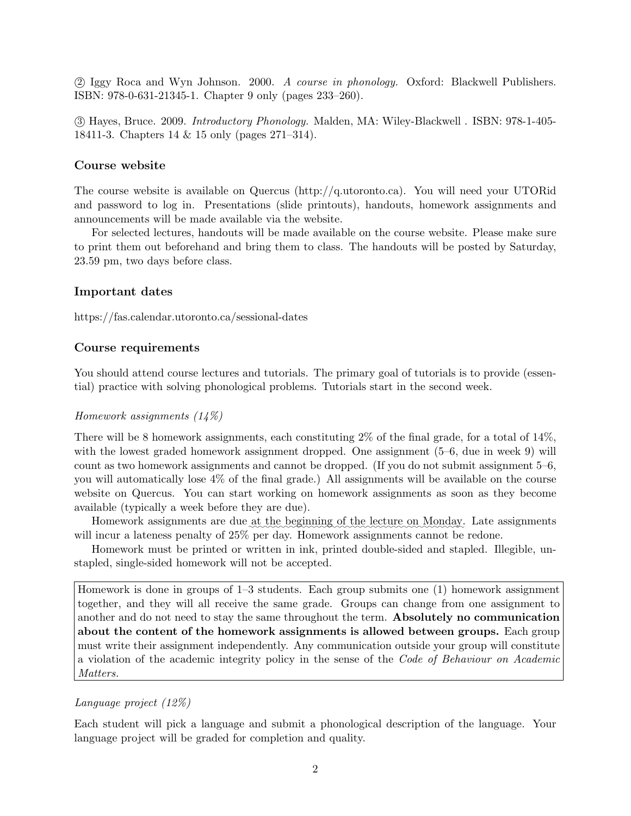2 Iggy Roca and Wyn Johnson. 2000. A course in phonology. Oxford: Blackwell Publishers. ISBN: 978-0-631-21345-1. Chapter 9 only (pages 233–260).

 3 Hayes, Bruce. 2009. Introductory Phonology. Malden, MA: Wiley-Blackwell . ISBN: 978-1-405- 18411-3. Chapters 14 & 15 only (pages 271–314).

#### Course website

The course website is available on Quercus (http://q.utoronto.ca). You will need your UTORid and password to log in. Presentations (slide printouts), handouts, homework assignments and announcements will be made available via the website.

For selected lectures, handouts will be made available on the course website. Please make sure to print them out beforehand and bring them to class. The handouts will be posted by Saturday, 23.59 pm, two days before class.

#### Important dates

https://fas.calendar.utoronto.ca/sessional-dates

#### Course requirements

You should attend course lectures and tutorials. The primary goal of tutorials is to provide (essential) practice with solving phonological problems. Tutorials start in the second week.

#### Homework assignments (14%)

There will be 8 homework assignments, each constituting 2% of the final grade, for a total of 14%, with the lowest graded homework assignment dropped. One assignment  $(5-6,$  due in week 9) will count as two homework assignments and cannot be dropped. (If you do not submit assignment 5–6, you will automatically lose 4% of the final grade.) All assignments will be available on the course website on Quercus. You can start working on homework assignments as soon as they become available (typically a week before they are due).

Homework assignments are due at the beginning of the lecture on Monday. Late assignments will incur a lateness penalty of 25% per day. Homework assignments cannot be redone.

Homework must be printed or written in ink, printed double-sided and stapled. Illegible, unstapled, single-sided homework will not be accepted.

Homework is done in groups of 1–3 students. Each group submits one (1) homework assignment together, and they will all receive the same grade. Groups can change from one assignment to another and do not need to stay the same throughout the term. Absolutely no communication about the content of the homework assignments is allowed between groups. Each group must write their assignment independently. Any communication outside your group will constitute a violation of the academic integrity policy in the sense of the Code of Behaviour on Academic Matters.

## Language project (12%)

Each student will pick a language and submit a phonological description of the language. Your language project will be graded for completion and quality.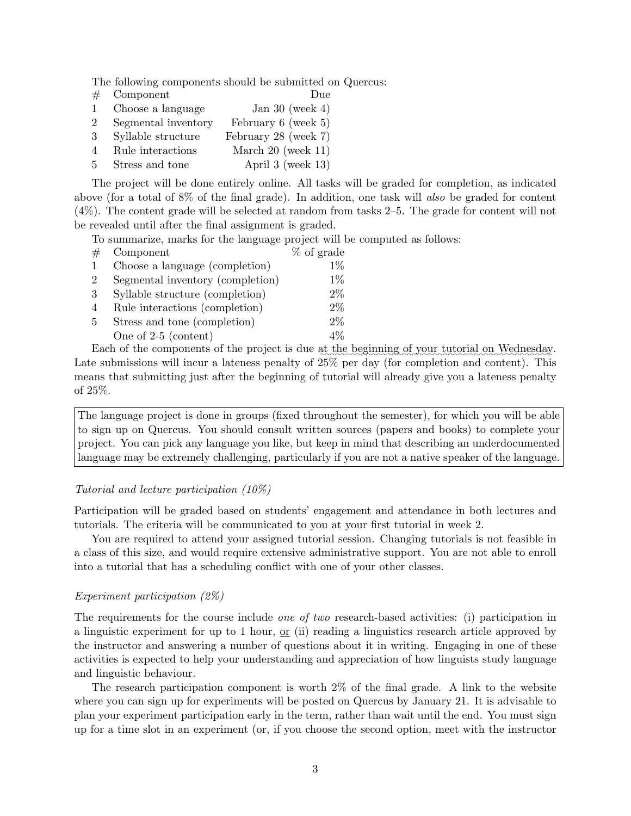The following components should be submitted on Quercus:

|              | $\#$ Component      | Due                      |
|--------------|---------------------|--------------------------|
| $\mathbf{1}$ | Choose a language   | Jan 30 (week 4)          |
| $2^{\circ}$  | Segmental inventory | February $6$ (week $5$ ) |
| $3 -$        | Syllable structure  | February 28 (week 7)     |
| 4            | Rule interactions   | March $20$ (week $11$ )  |
| $5 -$        | Stress and tone     | April 3 (week $13$ )     |

The project will be done entirely online. All tasks will be graded for completion, as indicated above (for a total of 8% of the final grade). In addition, one task will also be graded for content (4%). The content grade will be selected at random from tasks 2–5. The grade for content will not be revealed until after the final assignment is graded.

To summarize, marks for the language project will be computed as follows:

|             | $\#$ Component                    | % of grade |
|-------------|-----------------------------------|------------|
| 1           | Choose a language (completion)    | $1\%$      |
| $2^{\circ}$ | Segmental inventory (completion)  | $1\%$      |
|             | 3 Syllable structure (completion) | $2\%$      |
| 4           | Rule interactions (completion)    | $2\%$      |
| 5           | Stress and tone (completion)      | $2\%$      |
|             | One of $2-5$ (content)            | $4\%$      |

Each of the components of the project is due at the beginning of your tutorial on Wednesday. Late submissions will incur a lateness penalty of  $25\%$  per day (for completion and content). This means that submitting just after the beginning of tutorial will already give you a lateness penalty of 25%.

The language project is done in groups (fixed throughout the semester), for which you will be able to sign up on Quercus. You should consult written sources (papers and books) to complete your project. You can pick any language you like, but keep in mind that describing an underdocumented language may be extremely challenging, particularly if you are not a native speaker of the language.

### Tutorial and lecture participation (10%)

Participation will be graded based on students' engagement and attendance in both lectures and tutorials. The criteria will be communicated to you at your first tutorial in week 2.

You are required to attend your assigned tutorial session. Changing tutorials is not feasible in a class of this size, and would require extensive administrative support. You are not able to enroll into a tutorial that has a scheduling conflict with one of your other classes.

## Experiment participation (2%)

The requirements for the course include *one of two* research-based activities: (i) participation in a linguistic experiment for up to 1 hour, or (ii) reading a linguistics research article approved by the instructor and answering a number of questions about it in writing. Engaging in one of these activities is expected to help your understanding and appreciation of how linguists study language and linguistic behaviour.

The research participation component is worth 2% of the final grade. A link to the website where you can sign up for experiments will be posted on Quercus by January 21. It is advisable to plan your experiment participation early in the term, rather than wait until the end. You must sign up for a time slot in an experiment (or, if you choose the second option, meet with the instructor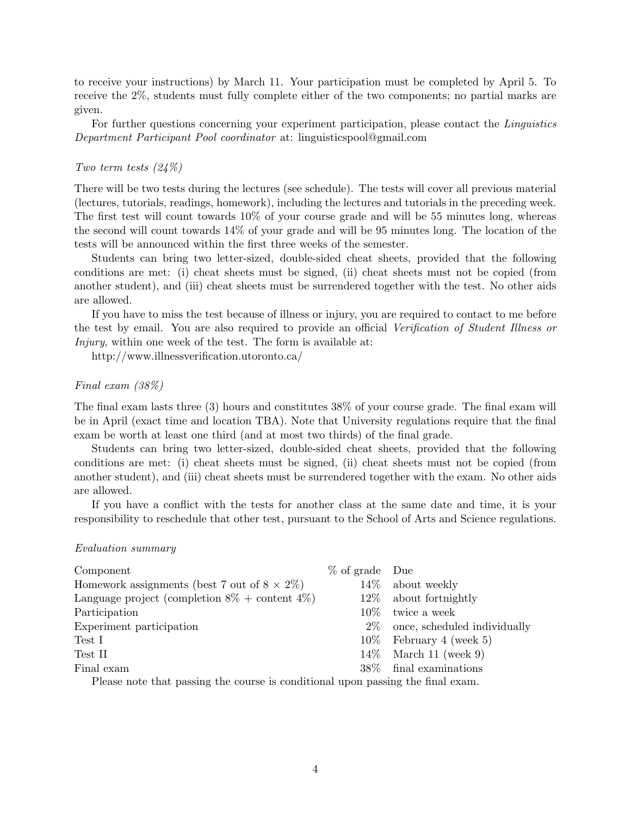to receive your instructions) by March 11. Your participation must be completed by April 5. To receive the 2%, students must fully complete either of the two components; no partial marks are given.

For further questions concerning your experiment participation, please contact the Linguistics Department Participant Pool coordinator at: linguisticspool@gmail.com

## Two term tests (24%)

There will be two tests during the lectures (see schedule). The tests will cover all previous material (lectures, tutorials, readings, homework), including the lectures and tutorials in the preceding week. The first test will count towards 10% of your course grade and will be 55 minutes long, whereas the second will count towards 14% of your grade and will be 95 minutes long. The location of the tests will be announced within the first three weeks of the semester.

Students can bring two letter-sized, double-sided cheat sheets, provided that the following conditions are met: (i) cheat sheets must be signed, (ii) cheat sheets must not be copied (from another student), and (iii) cheat sheets must be surrendered together with the test. No other aids are allowed.

If you have to miss the test because of illness or injury, you are required to contact to me before the test by email. You are also required to provide an official Verification of Student Illness or Injury, within one week of the test. The form is available at:

http://www.illnessverification.utoronto.ca/

#### Final exam (38%)

The final exam lasts three (3) hours and constitutes 38% of your course grade. The final exam will be in April (exact time and location TBA). Note that University regulations require that the final exam be worth at least one third (and at most two thirds) of the final grade.

Students can bring two letter-sized, double-sided cheat sheets, provided that the following conditions are met: (i) cheat sheets must be signed, (ii) cheat sheets must not be copied (from another student), and (iii) cheat sheets must be surrendered together with the exam. No other aids are allowed.

If you have a conflict with the tests for another class at the same date and time, it is your responsibility to reschedule that other test, pursuant to the School of Arts and Science regulations.

#### Evaluation summary

| Component                                                                       | $\%$ of grade Due |                              |  |  |  |
|---------------------------------------------------------------------------------|-------------------|------------------------------|--|--|--|
| Homework assignments (best 7 out of $8 \times 2\%$ )                            |                   | $14\%$ about weekly          |  |  |  |
| Language project (completion $8\%$ + content $4\%$ )                            | $12\%$            | about fortnightly            |  |  |  |
| Participation                                                                   | $10\%$            | twice a week                 |  |  |  |
| Experiment participation                                                        | $2\%$             | once, scheduled individually |  |  |  |
| Test I                                                                          |                   | $10\%$ February 4 (week 5)   |  |  |  |
| Test II                                                                         |                   | $14\%$ March 11 (week 9)     |  |  |  |
| Final exam                                                                      | 38\%              | final examinations           |  |  |  |
| Please note that passing the course is conditional upon passing the final exam. |                   |                              |  |  |  |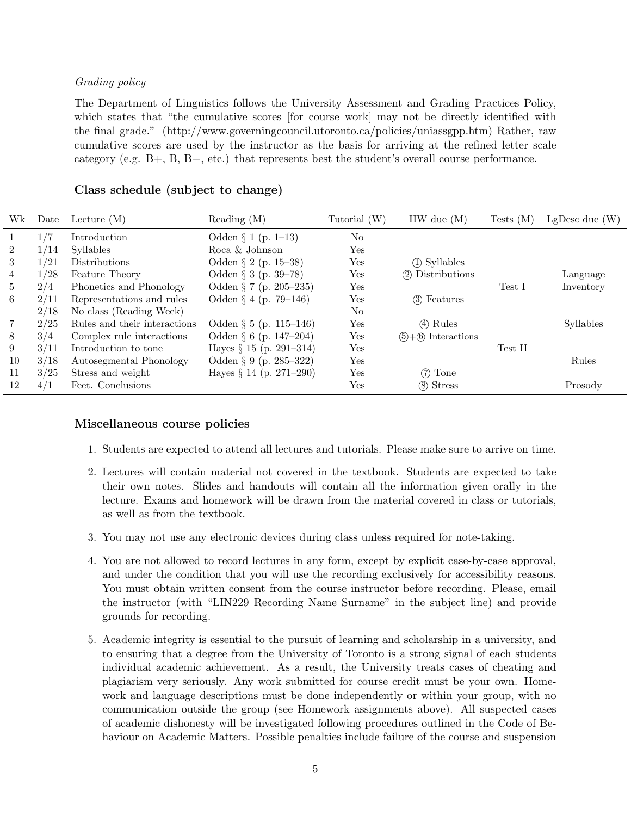## Grading policy

The Department of Linguistics follows the University Assessment and Grading Practices Policy, which states that "the cumulative scores [for course work] may not be directly identified with the final grade." (http://www.governingcouncil.utoronto.ca/policies/uniassgpp.htm) Rather, raw cumulative scores are used by the instructor as the basis for arriving at the refined letter scale category (e.g. B+, B, B−, etc.) that represents best the student's overall course performance.

## Class schedule (subject to change)

| Wk             | Date | Lecture $(M)$                | Reading $(M)$              | Tutorial $(W)$ | $HW$ due $(M)$           | Tests $(M)$ | LgDesc due $(W)$ |
|----------------|------|------------------------------|----------------------------|----------------|--------------------------|-------------|------------------|
| 1              | 1/7  | Introduction                 | Odden $\S 1$ (p. 1–13)     | $\rm No$       |                          |             |                  |
| $\overline{2}$ | 1/14 | <b>Syllables</b>             | Roca & Johnson             | Yes            |                          |             |                  |
| 3              | 1/21 | <b>Distributions</b>         | Odden $\S 2$ (p. 15–38)    | Yes            | (1) Syllables            |             |                  |
| 4              | 1/28 | Feature Theory               | Odden $\S 3$ (p. 39–78)    | Yes            | (2) Distributions        |             | Language         |
| $5^{\circ}$    | 2/4  | Phonetics and Phonology      | Odden $\S 7$ (p. 205–235)  | Yes            |                          | Test I      | Inventory        |
| 6              | 2/11 | Representations and rules    | Odden $\S 4$ (p. 79–146)   | Yes            | (3) Features             |             |                  |
|                | 2/18 | No class (Reading Week)      |                            | No             |                          |             |                  |
| 7              | 2/25 | Rules and their interactions | Odden $\S 5$ (p. 115–146)  | Yes            | (4) Rules                |             | Syllables        |
| 8              | 3/4  | Complex rule interactions    | Odden $\S 6$ (p. 147–204)  | Yes            | $(5) + (6)$ Interactions |             |                  |
| 9              | 3/11 | Introduction to tone         | Hayes $\S 15$ (p. 291-314) | Yes            |                          | Test II     |                  |
| 10             | 3/18 | Autosegmental Phonology      | Odden $\S 9$ (p. 285–322)  | Yes            |                          |             | Rules            |
| 11             | 3/25 | Stress and weight            | Hayes $\S 14$ (p. 271–290) | Yes            | $(7)$ Tone               |             |                  |
| 12             | 4/1  | Feet. Conclusions            |                            | Yes            | (8) Stress               |             | Prosody          |

## Miscellaneous course policies

- 1. Students are expected to attend all lectures and tutorials. Please make sure to arrive on time.
- 2. Lectures will contain material not covered in the textbook. Students are expected to take their own notes. Slides and handouts will contain all the information given orally in the lecture. Exams and homework will be drawn from the material covered in class or tutorials, as well as from the textbook.
- 3. You may not use any electronic devices during class unless required for note-taking.
- 4. You are not allowed to record lectures in any form, except by explicit case-by-case approval, and under the condition that you will use the recording exclusively for accessibility reasons. You must obtain written consent from the course instructor before recording. Please, email the instructor (with "LIN229 Recording Name Surname" in the subject line) and provide grounds for recording.
- 5. Academic integrity is essential to the pursuit of learning and scholarship in a university, and to ensuring that a degree from the University of Toronto is a strong signal of each students individual academic achievement. As a result, the University treats cases of cheating and plagiarism very seriously. Any work submitted for course credit must be your own. Homework and language descriptions must be done independently or within your group, with no communication outside the group (see Homework assignments above). All suspected cases of academic dishonesty will be investigated following procedures outlined in the Code of Behaviour on Academic Matters. Possible penalties include failure of the course and suspension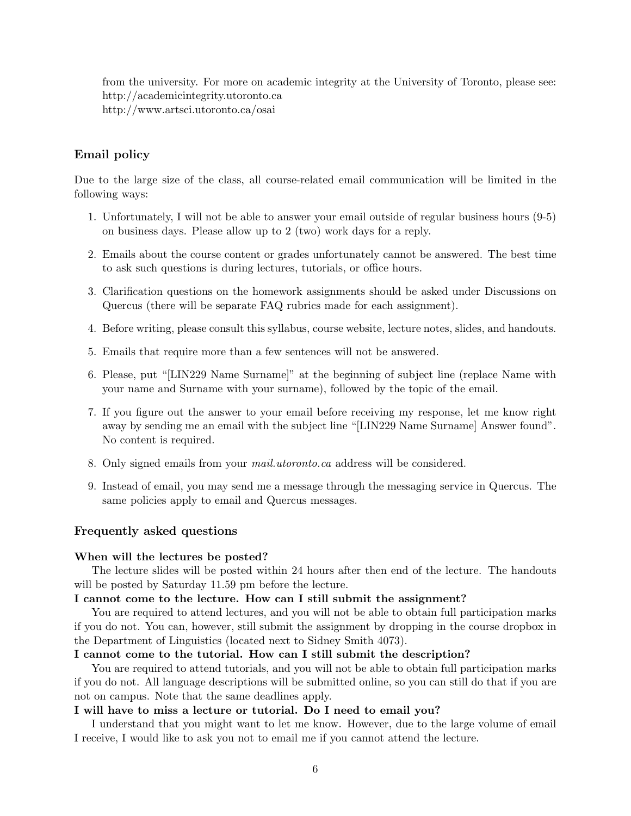from the university. For more on academic integrity at the University of Toronto, please see: http://academicintegrity.utoronto.ca http://www.artsci.utoronto.ca/osai

## Email policy

Due to the large size of the class, all course-related email communication will be limited in the following ways:

- 1. Unfortunately, I will not be able to answer your email outside of regular business hours (9-5) on business days. Please allow up to 2 (two) work days for a reply.
- 2. Emails about the course content or grades unfortunately cannot be answered. The best time to ask such questions is during lectures, tutorials, or office hours.
- 3. Clarification questions on the homework assignments should be asked under Discussions on Quercus (there will be separate FAQ rubrics made for each assignment).
- 4. Before writing, please consult this syllabus, course website, lecture notes, slides, and handouts.
- 5. Emails that require more than a few sentences will not be answered.
- 6. Please, put "[LIN229 Name Surname]" at the beginning of subject line (replace Name with your name and Surname with your surname), followed by the topic of the email.
- 7. If you figure out the answer to your email before receiving my response, let me know right away by sending me an email with the subject line "[LIN229 Name Surname] Answer found". No content is required.
- 8. Only signed emails from your mail.utoronto.ca address will be considered.
- 9. Instead of email, you may send me a message through the messaging service in Quercus. The same policies apply to email and Quercus messages.

## Frequently asked questions

#### When will the lectures be posted?

The lecture slides will be posted within 24 hours after then end of the lecture. The handouts will be posted by Saturday 11.59 pm before the lecture.

## I cannot come to the lecture. How can I still submit the assignment?

You are required to attend lectures, and you will not be able to obtain full participation marks if you do not. You can, however, still submit the assignment by dropping in the course dropbox in the Department of Linguistics (located next to Sidney Smith 4073).

#### I cannot come to the tutorial. How can I still submit the description?

You are required to attend tutorials, and you will not be able to obtain full participation marks if you do not. All language descriptions will be submitted online, so you can still do that if you are not on campus. Note that the same deadlines apply.

### I will have to miss a lecture or tutorial. Do I need to email you?

I understand that you might want to let me know. However, due to the large volume of email I receive, I would like to ask you not to email me if you cannot attend the lecture.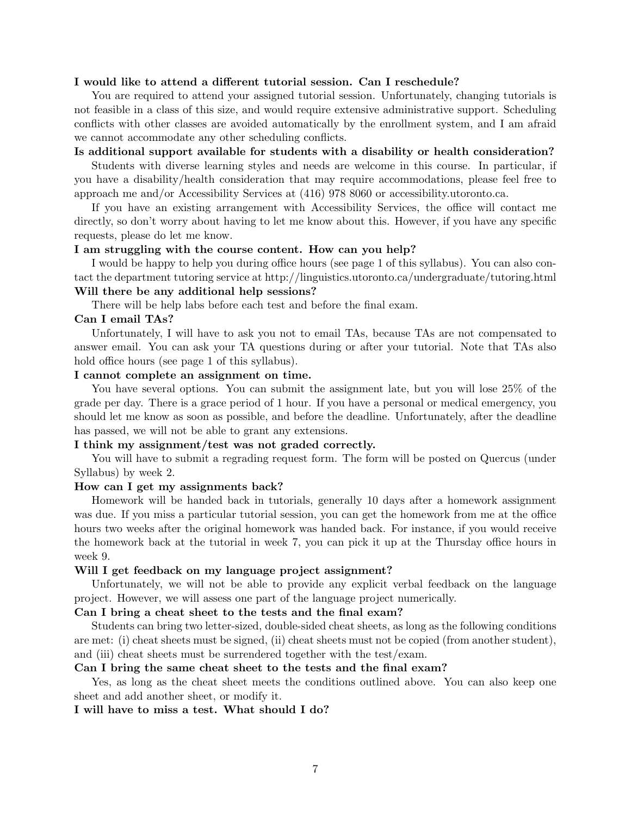#### I would like to attend a different tutorial session. Can I reschedule?

You are required to attend your assigned tutorial session. Unfortunately, changing tutorials is not feasible in a class of this size, and would require extensive administrative support. Scheduling conflicts with other classes are avoided automatically by the enrollment system, and I am afraid we cannot accommodate any other scheduling conflicts.

## Is additional support available for students with a disability or health consideration?

Students with diverse learning styles and needs are welcome in this course. In particular, if you have a disability/health consideration that may require accommodations, please feel free to approach me and/or Accessibility Services at (416) 978 8060 or accessibility.utoronto.ca.

If you have an existing arrangement with Accessibility Services, the office will contact me directly, so don't worry about having to let me know about this. However, if you have any specific requests, please do let me know.

#### I am struggling with the course content. How can you help?

I would be happy to help you during office hours (see page 1 of this syllabus). You can also contact the department tutoring service at http://linguistics.utoronto.ca/undergraduate/tutoring.html Will there be any additional help sessions?

There will be help labs before each test and before the final exam.

## Can I email TAs?

Unfortunately, I will have to ask you not to email TAs, because TAs are not compensated to answer email. You can ask your TA questions during or after your tutorial. Note that TAs also hold office hours (see page 1 of this syllabus).

## I cannot complete an assignment on time.

You have several options. You can submit the assignment late, but you will lose 25% of the grade per day. There is a grace period of 1 hour. If you have a personal or medical emergency, you should let me know as soon as possible, and before the deadline. Unfortunately, after the deadline has passed, we will not be able to grant any extensions.

## I think my assignment/test was not graded correctly.

You will have to submit a regrading request form. The form will be posted on Quercus (under Syllabus) by week 2.

### How can I get my assignments back?

Homework will be handed back in tutorials, generally 10 days after a homework assignment was due. If you miss a particular tutorial session, you can get the homework from me at the office hours two weeks after the original homework was handed back. For instance, if you would receive the homework back at the tutorial in week 7, you can pick it up at the Thursday office hours in week 9.

#### Will I get feedback on my language project assignment?

Unfortunately, we will not be able to provide any explicit verbal feedback on the language project. However, we will assess one part of the language project numerically.

## Can I bring a cheat sheet to the tests and the final exam?

Students can bring two letter-sized, double-sided cheat sheets, as long as the following conditions are met: (i) cheat sheets must be signed, (ii) cheat sheets must not be copied (from another student), and (iii) cheat sheets must be surrendered together with the test/exam.

### Can I bring the same cheat sheet to the tests and the final exam?

Yes, as long as the cheat sheet meets the conditions outlined above. You can also keep one sheet and add another sheet, or modify it.

#### I will have to miss a test. What should I do?